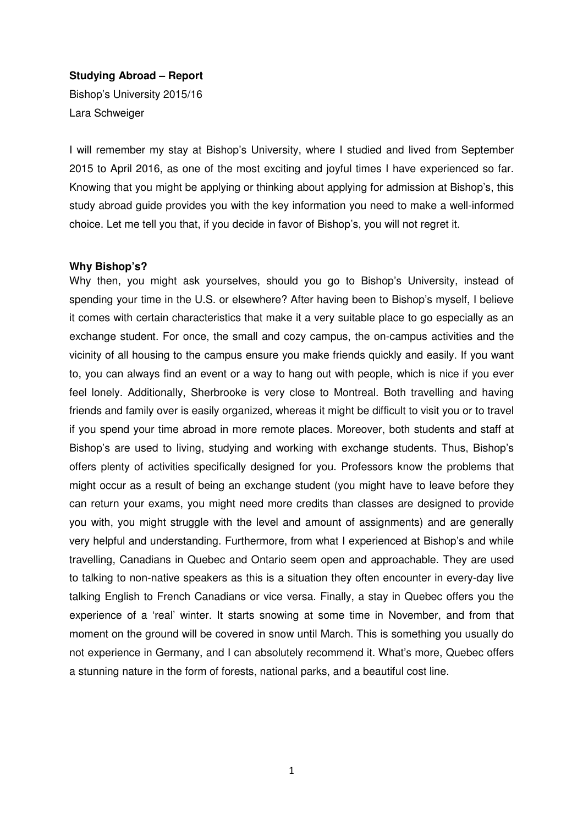# **Studying Abroad – Report**

Bishop's University 2015/16 Lara Schweiger

I will remember my stay at Bishop's University, where I studied and lived from September 2015 to April 2016, as one of the most exciting and joyful times I have experienced so far. Knowing that you might be applying or thinking about applying for admission at Bishop's, this study abroad guide provides you with the key information you need to make a well-informed choice. Let me tell you that, if you decide in favor of Bishop's, you will not regret it.

# **Why Bishop's?**

Why then, you might ask yourselves, should you go to Bishop's University, instead of spending your time in the U.S. or elsewhere? After having been to Bishop's myself, I believe it comes with certain characteristics that make it a very suitable place to go especially as an exchange student. For once, the small and cozy campus, the on-campus activities and the vicinity of all housing to the campus ensure you make friends quickly and easily. If you want to, you can always find an event or a way to hang out with people, which is nice if you ever feel lonely. Additionally, Sherbrooke is very close to Montreal. Both travelling and having friends and family over is easily organized, whereas it might be difficult to visit you or to travel if you spend your time abroad in more remote places. Moreover, both students and staff at Bishop's are used to living, studying and working with exchange students. Thus, Bishop's offers plenty of activities specifically designed for you. Professors know the problems that might occur as a result of being an exchange student (you might have to leave before they can return your exams, you might need more credits than classes are designed to provide you with, you might struggle with the level and amount of assignments) and are generally very helpful and understanding. Furthermore, from what I experienced at Bishop's and while travelling, Canadians in Quebec and Ontario seem open and approachable. They are used to talking to non-native speakers as this is a situation they often encounter in every-day live talking English to French Canadians or vice versa. Finally, a stay in Quebec offers you the experience of a 'real' winter. It starts snowing at some time in November, and from that moment on the ground will be covered in snow until March. This is something you usually do not experience in Germany, and I can absolutely recommend it. What's more, Quebec offers a stunning nature in the form of forests, national parks, and a beautiful cost line.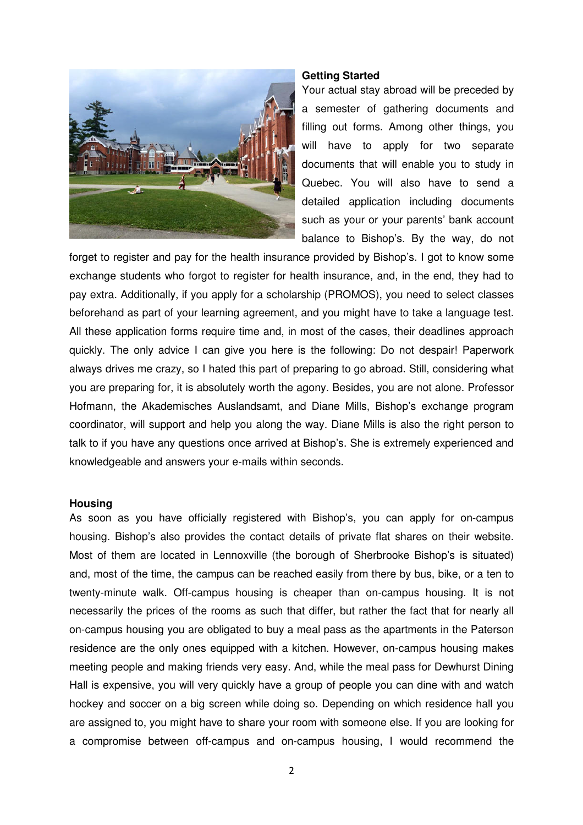

### **Getting Started**

Your actual stay abroad will be preceded by a semester of gathering documents and filling out forms. Among other things, you will have to apply for two separate documents that will enable you to study in Quebec. You will also have to send a detailed application including documents such as your or your parents' bank account balance to Bishop's. By the way, do not

forget to register and pay for the health insurance provided by Bishop's. I got to know some exchange students who forgot to register for health insurance, and, in the end, they had to pay extra. Additionally, if you apply for a scholarship (PROMOS), you need to select classes beforehand as part of your learning agreement, and you might have to take a language test. All these application forms require time and, in most of the cases, their deadlines approach quickly. The only advice I can give you here is the following: Do not despair! Paperwork always drives me crazy, so I hated this part of preparing to go abroad. Still, considering what you are preparing for, it is absolutely worth the agony. Besides, you are not alone. Professor Hofmann, the Akademisches Auslandsamt, and Diane Mills, Bishop's exchange program coordinator, will support and help you along the way. Diane Mills is also the right person to talk to if you have any questions once arrived at Bishop's. She is extremely experienced and knowledgeable and answers your e-mails within seconds.

#### **Housing**

As soon as you have officially registered with Bishop's, you can apply for on-campus housing. Bishop's also provides the contact details of private flat shares on their website. Most of them are located in Lennoxville (the borough of Sherbrooke Bishop's is situated) and, most of the time, the campus can be reached easily from there by bus, bike, or a ten to twenty-minute walk. Off-campus housing is cheaper than on-campus housing. It is not necessarily the prices of the rooms as such that differ, but rather the fact that for nearly all on-campus housing you are obligated to buy a meal pass as the apartments in the Paterson residence are the only ones equipped with a kitchen. However, on-campus housing makes meeting people and making friends very easy. And, while the meal pass for Dewhurst Dining Hall is expensive, you will very quickly have a group of people you can dine with and watch hockey and soccer on a big screen while doing so. Depending on which residence hall you are assigned to, you might have to share your room with someone else. If you are looking for a compromise between off-campus and on-campus housing, I would recommend the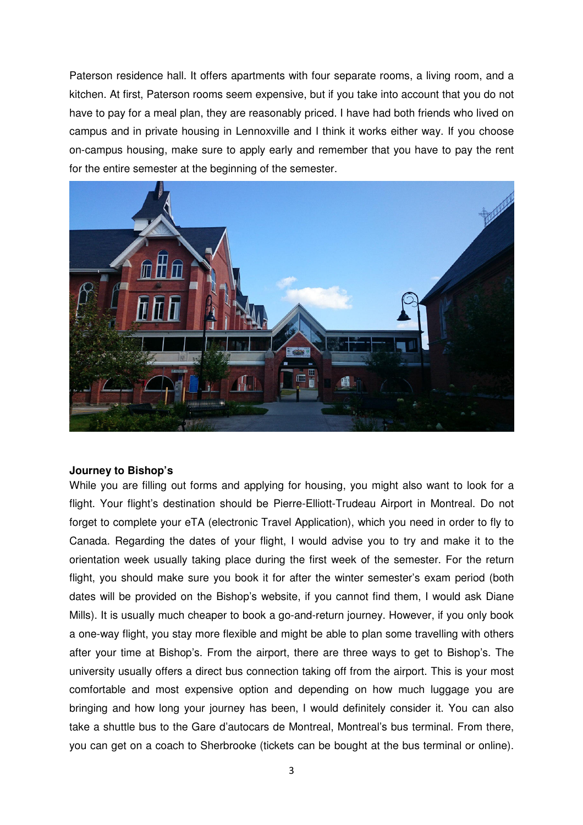Paterson residence hall. It offers apartments with four separate rooms, a living room, and a kitchen. At first, Paterson rooms seem expensive, but if you take into account that you do not have to pay for a meal plan, they are reasonably priced. I have had both friends who lived on campus and in private housing in Lennoxville and I think it works either way. If you choose on-campus housing, make sure to apply early and remember that you have to pay the rent for the entire semester at the beginning of the semester.



# **Journey to Bishop's**

While you are filling out forms and applying for housing, you might also want to look for a flight. Your flight's destination should be Pierre-Elliott-Trudeau Airport in Montreal. Do not forget to complete your eTA (electronic Travel Application), which you need in order to fly to Canada. Regarding the dates of your flight, I would advise you to try and make it to the orientation week usually taking place during the first week of the semester. For the return flight, you should make sure you book it for after the winter semester's exam period (both dates will be provided on the Bishop's website, if you cannot find them, I would ask Diane Mills). It is usually much cheaper to book a go-and-return journey. However, if you only book a one-way flight, you stay more flexible and might be able to plan some travelling with others after your time at Bishop's. From the airport, there are three ways to get to Bishop's. The university usually offers a direct bus connection taking off from the airport. This is your most comfortable and most expensive option and depending on how much luggage you are bringing and how long your journey has been, I would definitely consider it. You can also take a shuttle bus to the Gare d'autocars de Montreal, Montreal's bus terminal. From there, you can get on a coach to Sherbrooke (tickets can be bought at the bus terminal or online).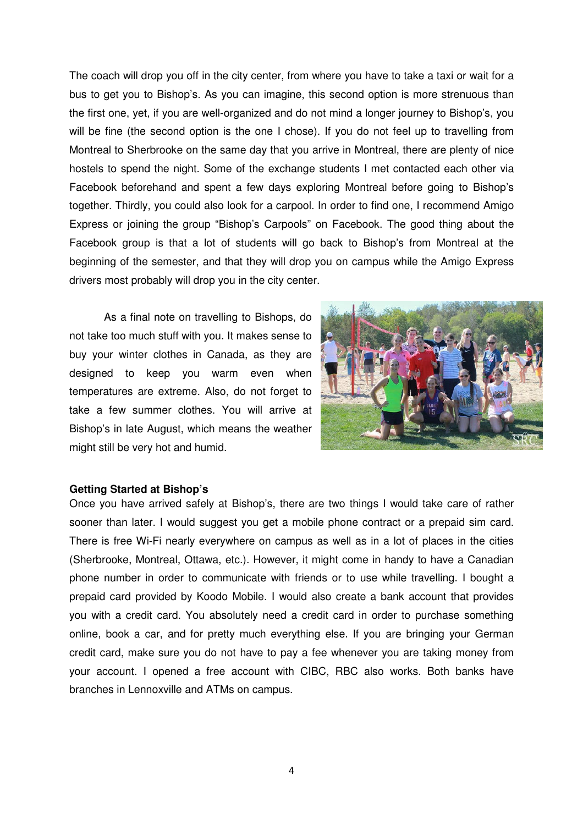The coach will drop you off in the city center, from where you have to take a taxi or wait for a bus to get you to Bishop's. As you can imagine, this second option is more strenuous than the first one, yet, if you are well-organized and do not mind a longer journey to Bishop's, you will be fine (the second option is the one I chose). If you do not feel up to travelling from Montreal to Sherbrooke on the same day that you arrive in Montreal, there are plenty of nice hostels to spend the night. Some of the exchange students I met contacted each other via Facebook beforehand and spent a few days exploring Montreal before going to Bishop's together. Thirdly, you could also look for a carpool. In order to find one, I recommend Amigo Express or joining the group "Bishop's Carpools" on Facebook. The good thing about the Facebook group is that a lot of students will go back to Bishop's from Montreal at the beginning of the semester, and that they will drop you on campus while the Amigo Express drivers most probably will drop you in the city center.

As a final note on travelling to Bishops, do not take too much stuff with you. It makes sense to buy your winter clothes in Canada, as they are designed to keep you warm even when temperatures are extreme. Also, do not forget to take a few summer clothes. You will arrive at Bishop's in late August, which means the weather might still be very hot and humid.



## **Getting Started at Bishop's**

Once you have arrived safely at Bishop's, there are two things I would take care of rather sooner than later. I would suggest you get a mobile phone contract or a prepaid sim card. There is free Wi-Fi nearly everywhere on campus as well as in a lot of places in the cities (Sherbrooke, Montreal, Ottawa, etc.). However, it might come in handy to have a Canadian phone number in order to communicate with friends or to use while travelling. I bought a prepaid card provided by Koodo Mobile. I would also create a bank account that provides you with a credit card. You absolutely need a credit card in order to purchase something online, book a car, and for pretty much everything else. If you are bringing your German credit card, make sure you do not have to pay a fee whenever you are taking money from your account. I opened a free account with CIBC, RBC also works. Both banks have branches in Lennoxville and ATMs on campus.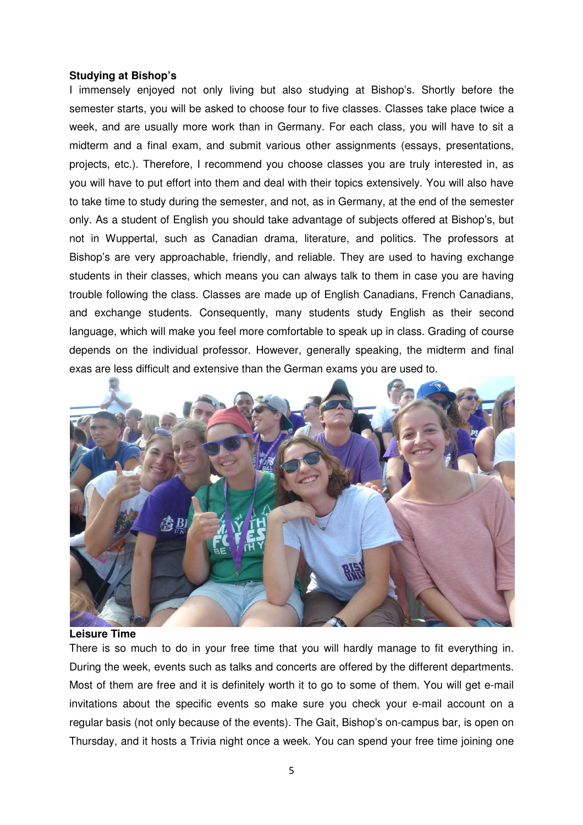# **Studying at Bishop's**

I immensely enjoyed not only living but also studying at Bishop's. Shortly before the semester starts, you will be asked to choose four to five classes. Classes take place twice a week, and are usually more work than in Germany. For each class, you will have to sit a midterm and a final exam, and submit various other assignments (essays, presentations, projects, etc.). Therefore, I recommend you choose classes you are truly interested in, as you will have to put effort into them and deal with their topics extensively. You will also have to take time to study during the semester, and not, as in Germany, at the end of the semester only. As a student of English you should take advantage of subjects offered at Bishop's, but not in Wuppertal, such as Canadian drama, literature, and politics. The professors at Bishop's are very approachable, friendly, and reliable. They are used to having exchange students in their classes, which means you can always talk to them in case you are having trouble following the class. Classes are made up of English Canadians, French Canadians, and exchange students. Consequently, many students study English as their second language, which will make you feel more comfortable to speak up in class. Grading of course depends on the individual professor. However, generally speaking, the midterm and final exas are less difficult and extensive than the German exams you are used to.



#### **Leisure Time**

There is so much to do in your free time that you will hardly manage to fit everything in. During the week, events such as talks and concerts are offered by the different departments. Most of them are free and it is definitely worth it to go to some of them. You will get e-mail invitations about the specific events so make sure you check your e-mail account on a regular basis (not only because of the events). The Gait, Bishop's on-campus bar, is open on Thursday, and it hosts a Trivia night once a week. You can spend your free time joining one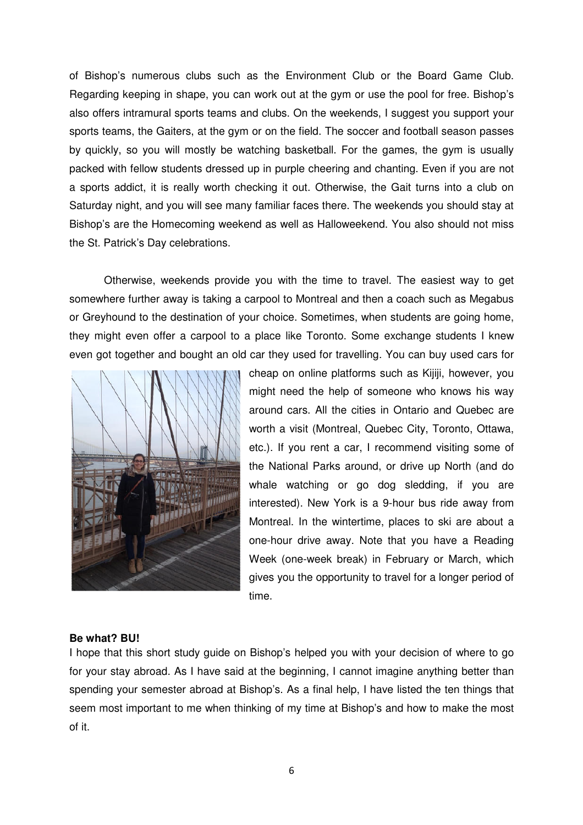of Bishop's numerous clubs such as the Environment Club or the Board Game Club. Regarding keeping in shape, you can work out at the gym or use the pool for free. Bishop's also offers intramural sports teams and clubs. On the weekends, I suggest you support your sports teams, the Gaiters, at the gym or on the field. The soccer and football season passes by quickly, so you will mostly be watching basketball. For the games, the gym is usually packed with fellow students dressed up in purple cheering and chanting. Even if you are not a sports addict, it is really worth checking it out. Otherwise, the Gait turns into a club on Saturday night, and you will see many familiar faces there. The weekends you should stay at Bishop's are the Homecoming weekend as well as Halloweekend. You also should not miss the St. Patrick's Day celebrations.

Otherwise, weekends provide you with the time to travel. The easiest way to get somewhere further away is taking a carpool to Montreal and then a coach such as Megabus or Greyhound to the destination of your choice. Sometimes, when students are going home, they might even offer a carpool to a place like Toronto. Some exchange students I knew even got together and bought an old car they used for travelling. You can buy used cars for



cheap on online platforms such as Kijiji, however, you might need the help of someone who knows his way around cars. All the cities in Ontario and Quebec are worth a visit (Montreal, Quebec City, Toronto, Ottawa, etc.). If you rent a car, I recommend visiting some of the National Parks around, or drive up North (and do whale watching or go dog sledding, if you are interested). New York is a 9-hour bus ride away from Montreal. In the wintertime, places to ski are about a one-hour drive away. Note that you have a Reading Week (one-week break) in February or March, which gives you the opportunity to travel for a longer period of time.

## **Be what? BU!**

I hope that this short study guide on Bishop's helped you with your decision of where to go for your stay abroad. As I have said at the beginning, I cannot imagine anything better than spending your semester abroad at Bishop's. As a final help, I have listed the ten things that seem most important to me when thinking of my time at Bishop's and how to make the most of it.